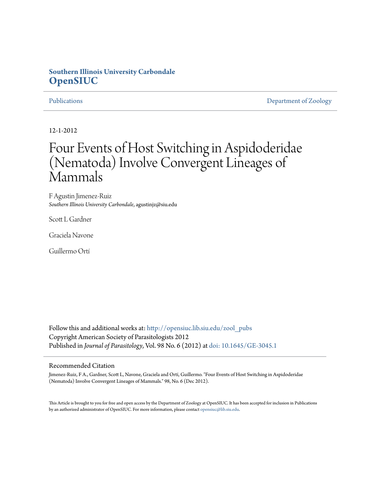# **Southern Illinois University Carbondale [OpenSIUC](http://opensiuc.lib.siu.edu?utm_source=opensiuc.lib.siu.edu%2Fzool_pubs%2F58&utm_medium=PDF&utm_campaign=PDFCoverPages)**

[Publications](http://opensiuc.lib.siu.edu/zool_pubs?utm_source=opensiuc.lib.siu.edu%2Fzool_pubs%2F58&utm_medium=PDF&utm_campaign=PDFCoverPages) **[Department of Zoology](http://opensiuc.lib.siu.edu/zool?utm_source=opensiuc.lib.siu.edu%2Fzool_pubs%2F58&utm_medium=PDF&utm_campaign=PDFCoverPages)** 

12-1-2012

# Four Events of Host Switching in Aspidoderidae (Nematoda) Involve Convergent Lineages of Mammals

F Agustin Jimenez-Ruiz *Southern Illinois University Carbondale*, agustinjz@siu.edu

Scott L Gardner

Graciela Navone

Guillermo Ortí

Follow this and additional works at: [http://opensiuc.lib.siu.edu/zool\\_pubs](http://opensiuc.lib.siu.edu/zool_pubs?utm_source=opensiuc.lib.siu.edu%2Fzool_pubs%2F58&utm_medium=PDF&utm_campaign=PDFCoverPages) Copyright American Society of Parasitologists 2012 Published in *Journal of Parasitology*, Vol. 98 No. 6 (2012) at [doi: 10.1645/GE-3045.1](http://dx.doi.org/10.1645/GE-3045.1)

### Recommended Citation

Jimenez-Ruiz, F A., Gardner, Scott L, Navone, Graciela and Ortí, Guillermo. "Four Events of Host Switching in Aspidoderidae (Nematoda) Involve Convergent Lineages of Mammals." 98, No. 6 (Dec 2012).

This Article is brought to you for free and open access by the Department of Zoology at OpenSIUC. It has been accepted for inclusion in Publications by an authorized administrator of OpenSIUC. For more information, please contact [opensiuc@lib.siu.edu.](mailto:opensiuc@lib.siu.edu)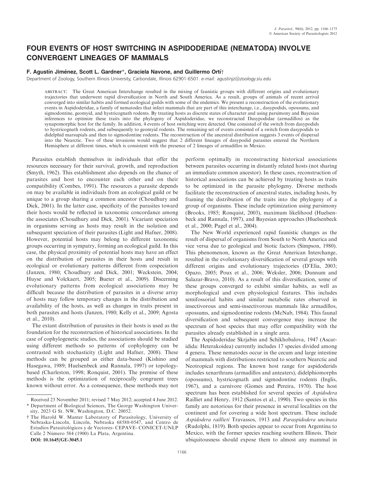## FOUR EVENTS OF HOST SWITCHING IN ASPIDODERIDAE (NEMATODA) INVOLVE CONVERGENT LINEAGES OF MAMMALS

#### F. Agustín Jiménez, Scott L. Gardner\*, Graciela Navone, and Guillermo Ortí<sup>+</sup>

Department of Zoology, Southern Illinois University, Carbondale, Illinois 62901-6501. e-mail: agustinjz@zoology.siu.edu

ABSTRACT: The Great American Interchange resulted in the mixing of faunistic groups with different origins and evolutionary trajectories that underwent rapid diversification in North and South America. As a result, groups of animals of recent arrival converged into similar habits and formed ecological guilds with some of the endemics. We present a reconstruction of the evolutionary events in Aspidoderidae, a family of nematodes that infect mammals that are part of this interchange, i.e., dasypodids, opossums, and sigmodontine, geomyid, and hystricognath rodents. By treating hosts as discrete states of character and using parsimony and Bayesian inferences to optimize these traits into the phylogeny of Aspidoderidae, we reconstructed Dasypodidae (armadillos) as the synapomorphic host for the family. In addition, 4 events of host switching were detected. One consisted of the switch from dasypodids to hystricognath rodents, and subsequently to geomyid rodents. The remaining set of events consisted of a switch from dasypodids to didelphid marsupials and then to sigmodontine rodents. The reconstruction of the ancestral distribution suggests 3 events of dispersal into the Nearctic. Two of these invasions would suggest that 2 different lineages of dasypodid parasites entered the Northern Hemisphere at different times, which is consistent with the presence of 2 lineages of armadillos in Mexico.

Parasites establish themselves in individuals that offer the resources necessary for their survival, growth, and reproduction (Smyth, 1962). This establishment also depends on the chance of parasites and host to encounter each other and on their compatibility (Combes, 1991). The resources a parasite depends on may be available in individuals from an ecological guild or be unique to a group sharing a common ancestor (Choudhury and Dick, 2001). In the latter case, specificity of the parasites toward their hosts would be reflected in taxonomic concordance among the associates (Choudhury and Dick, 2001). Vicariant speciation in organisms serving as hosts may result in the isolation and subsequent speciation of their parasites (Light and Hafner, 2008). However, potential hosts may belong to different taxonomic groups occurring in sympatry, forming an ecological guild. In this case, the physical proximity of potential hosts may have an effect on the distribution of parasites in their hosts and result in ecological or evolutionary patterns different from cospeciation (Janzen, 1980; Choudhury and Dick, 2001; Weckstein, 2004; Huyse and Volckaert, 2005; Bueter et al., 2009). Discerning evolutionary patterns from ecological associations may be difficult because the distribution of parasites in a diverse array of hosts may follow temporary changes in the distribution and availability of the hosts, as well as changes in traits present in both parasites and hosts (Janzen, 1980; Kelly et al., 2009; Agosta et al., 2010).

The extant distribution of parasites in their hosts is used as the foundation for the reconstruction of historical associations. In the case of cophylogenetic studies, the associations should be studied using different methods so patterns of cophylogeny can be contrasted with stochasticity (Light and Hafner, 2008). These methods can be grouped as either data-based (Kishino and Hasegawa, 1989; Huelsenbeck and Rannala, 1997) or topologybased (Charleston, 1998; Ronquist, 2001). The premise of these methods is the optimization of reciprocally congruent trees known without error. As a consequence, these methods may not perform optimally in reconstructing historical associations between parasites occurring in distantly related hosts (not sharing an immediate common ancestor). In these cases, reconstruction of historical associations can be achieved by treating hosts as traits to be optimized in the parasite phylogeny. Diverse methods facilitate the reconstruction of ancestral states, including hosts, by framing the distribution of the traits into the phylogeny of a group of organisms. These include optimization using parsimony (Brooks, 1985; Ronquist, 2003), maximum likelihood (Huelsenbeck and Rannala, 1997), and Bayesian approaches (Huelsenbeck et al., 2000; Pagel et al., 2004).

The New World experienced rapid faunistic changes as the result of dispersal of organisms from South to North America and vice versa due to geological and biotic factors (Simpson, 1980). This phenomenon, known as the Great American Interchange, resulted in the evolutionary diversification of several groups with different origins and evolutionary trajectories (D'Elía, 2003; Opazo, 2005; Poux et al., 2006; Weksler, 2006; Dunnum and Salazar-Bravo, 2010). As a result of this diversification, some of these groups converged to exhibit similar habits, as well as morphological and even physiological features. This includes semifossorial habits and similar metabolic rates observed in insectivorous and semi-insectivorous mammals like armadillos, opossums, and sigmodontine rodents (McNab, 1984). This faunal diversification and subsequent convergence may increase the spectrum of host species that may offer compatibility with the parasites already established in a single area.

The Aspidoderidae Skrjabin and Schikhobalova, 1947 (Ascaridida: Heterakoidea) currently includes 17 species divided among 4 genera. These nematodes occur in the cecum and large intestine of mammals with distributions restricted to southern Nearctic and Neotropical regions. The known host range for aspidoderids includes xenarthrans (armadillos and anteaters), didelphiomorphs (opossums), hystricognath and sigmodontine rodents (Inglis, 1967), and a carnivore (Gomes and Pereira, 1970). The host spectrum has been established for several species of Aspidodera Railliet and Henry, 1912 (Santos et al., 1990). Two species in this family are notorious for their presence in several localities on the continent and for covering a wide host spectrum. These include Aspidodera raillieti Travassos, 1913 and Paraspidodera uncinata (Rudolphi, 1819). Both species appear to occur from Argentina to Mexico, with the former species reaching southern Illinois. Their ubiquitousness should expose them to almost any mammal in

Received 23 November 2011; revised 7 May 2012; accepted 4 June 2012. \* Department of Biological Sciences, The George Washington University, 2023 G St. NW, Washington, D.C. 20052.

<sup>†</sup> The Harold W. Manter Laboratory of Parasitology, University of Nebraska-Lincoln, Lincoln, Nebraska 68588-0547, and Centro de Estudios Parasitológicos y de Vectores- CEPAVE- CONICET-UNLP Calle 2 Número 584 (1900) La Plata, Argentina. DOI: 10.1645/GE-3045.1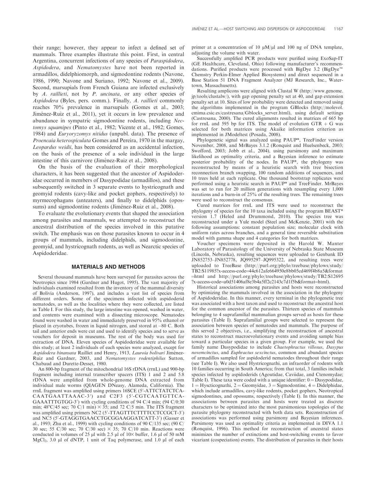their range; however, they appear to infect a defined set of mammals. Three examples illustrate this point. First, in central Argentina, concurrent infections of any species of Paraspidodera, Aspidodera, and Nematomystes have not been reported in armadillos, didelphiomorph, and sigmodontine rodents (Navone, 1986, 1990; Navone and Suriano, 1992; Navone et al., 2009). Second, marsupials from French Guiana are infected exclusively by A. raillieti, not by P. uncinata, or any other species of Aspidodera (Byles, pers. comm.). Finally, A. raillieti commonly reaches 70% prevalence in marsupials (Gomes et al., 2003; Jiménez-Ruiz et al., 2011), yet it occurs in low prevalence and abundance in sympatric sigmodontine rodents, including Nectomys squamipes (Pinto et al., 1982; Vicente et al., 1982; Gomes, 1984) and *Euryoryzomys nitidus* (unpubl. data). The presence of Proencaia heterospiculata Gomes and Pereira, 1970 in the margay, Leopardus weidii, has been considered as an accidental infection, on the basis of the presence of a sole individual in the large intestine of this carnivore (Jiménez-Ruiz et al., 2008).

On the basis of the evaluation of their morphological characters, it has been suggested that the ancestor of Aspidoderidae occurred in members of Dasypodidae (armadillos), and these subsequently switched in 3 separate events to hystricognath and geomyid rodents (cavy-like and pocket gophers, respectively) to myrmecophagans (anteaters), and finally to didelphids (opossums) and sigmodontine rodents (Jiménez-Ruiz et al., 2008).

To evaluate the evolutionary events that shaped the association among parasites and mammals, we attempted to reconstruct the ancestral distribution of the species involved in this putative switch. The emphasis was on those parasites known to occur in 4 groups of mammals, including didelphids, and sigmodontine, geomyid, and hystricognath rodents, as well as Nearctic species of Aspidoderidae.

#### MATERIALS AND METHODS

Several thousand mammals have been surveyed for parasites across the Neotropics since 1984 (Gardner and Hugot, 1995). The vast majority of individuals examined resulted from the inventory of the mammal diversity of Bolivia (Anderson, 1997), and includes a vast list of species from different orders. Some of the specimens infected with aspidoderid nematodes, as well as the localities where they were collected, are listed in Table I. For this study, the large intestine was opened, washed in water, and contents were examined with a dissecting microscope. Nematodes found were washed in water and immediately preserved in 95% ethanol or placed in cryotubes, frozen in liquid nitrogen, and stored at -80 C. Both tail and anterior ends were cut and used to identify species and to serve as vouchers for deposit in museums. The rest of the body was used for extraction of DNA. Eleven species of Aspidoderidae were available for this study; at least 2 individuals of each species were analyzed, except for Aspidodera binansata Railliet and Henry, 1913, Lauroia bolivari Jiménez-Ruiz and Gardner, 2003, and Nematomystes rodentiphilus Sutton, Chabaud and Durette-Desset, 1980.

An 800-bp fragment of the mitochondrial 16S rDNA (rrnL) and 900-bp fragment including internal transcriber spacers (ITS) 1 and 2 and 5.8 rDNA were amplified from whole-genome DNA extracted from individual male worms (QIAGEN DNeasy, Alameda, California). The rrnL fragment was amplified using primers 16SCE (5'-ATTCTATCTCA-CAATGAATTAAAC-3') and C2F3 (5'-CGTCAATGTTCA-GAAATTTGTGG-3') with cycling conditions of 94 C/4 min;  $(94 \text{ C}/0:30$ min; 48°C/45 sec; 70 C/1 min)  $\times$  35; and 72 C/5 min. The ITS fragment was amplified using primers NC2 (5'-TTAGTTTCTTTTCCTCCGCT-3') and NC5 (5'-GTAGGTGAACCTGCGGAAGGATCATT-3') (Gasser et al., 1993; Zhu et al., 1999) with cycling conditions of 90 C/135 sec; (90 C/ 30 sec; 55 C/30 sec; 70 C/30 sec)  $\times$  35; 70 C/10 min. Reactions were conducted in volumes of 25  $\mu$ l with 2.5  $\mu$ l of 10 $\times$  buffer, 1.6  $\mu$ l of 50 mM MgCl<sub>2</sub>, 3.0  $\mu$ l of dNTP, 1 unit of Taq polymerase, and 1.0  $\mu$ l of each

primer at a concentration of 10  $\mu$ M/ $\mu$ l and 100 ng of DNA template, adjusting the volume with water.

Successfully amplified PCR products were purified using ExoSap-IT (GE Healthcare, Cleveland, Ohio) following manufacturer's recommendations. Purified products were processed with BigDye 3.2 (BigDye<sup>TM</sup> Chemstry Perkin-Elmer Applied Biosystems) and direct sequenced in a Base Station 51 DNA Fragment Analyzer (MJ Research, Inc., Watertown, Massachusetts).

Resulting amplicons were aligned with Clustal W (http://www.genome. jp/tools/clustalw/), with gap opening penalty set at 40, and gap extension penalty set at 10. Sites of low probability were detected and removed using the algorithms implemented in the program GBlocks (http://molevol. cmima.csic.es/castresana/Gblocks\_server.html), using default settings (Castresana, 2000). The cured alignments resulted in matrices of 665 bp for rrnL and 595 bp for ITS. The model of evolution  $GTR + G$  was selected for both matrices using Akaike information criterion as implemented in JModeltest (Posada, 2008).

Phylogenetic signal was analyzed using PAUP\*, TreeFinder version November, 2008, and MrBayes 3.1.2 (Ronquist and Huelsenbeck, 2003; Swofford, 2003; Jobb et al., 2004), using parsimony and maximum likelihood as optimality criteria, and a Bayesian inference to estimate posterior probability of the nodes. In PAUP\*, the phylogeny was reconstructed by means of a heuristic search with tree bisection reconnection branch swapping, 100 random additions of sequences, and 10 trees held at each replicate. One thousand bootstrap replicates were performed using a heuristic search in PAUP\* and TreeFinder. MrBayes was set to run for 20 million generations with resampling every 1,000 iterations and a burn-in of 25% of the resulting trees. The remaining trees were used to reconstruct the consensus.

Cured matrices for rrnL and ITS were used to reconstruct the phylogeny of species for the 10 taxa included using the program BEAST\* version 1.7 (Heled and Drummond, 2010). The species tree was reconstructed under a Yule model (Steel and McKenzie, 2001) with the following assumptions: constant population size; molecular clock with uniform rates across branches, and a general time reversible substitution model with gamma shape and 4 categories for both matrices.

Voucher specimens were deposited in the Harold W. Manter Laboratory of Parasitology of the University of Nebraska State Museum (Lincoln, Nebraska), resulting sequences were uploaded to Genbank ID JN852753–JN852778, JQ995297–JQ995322, and resulting trees were uploaded to TreeBase (http://purl.org/phylo/treebase/phylows/study/ TB2:S11985?x-access-code=44c612afe664950e8bb05cd469f4b8a5&format  $=$ html and http://purl.org/phylo/treebase/phylows/study/TB2:S12695 ?x-access-code=a0d51406af8e3b4a5ff2c2143c7d1f5b&format=html).

Historical associations among parasites and hosts were reconstructed by optimizing the mammals involved in the association in the phylogeny of Aspidoderidae. In this manner, every terminal in the phylogenetic tree was associated with a host taxon and used to reconstruct the ancestral host for the common ancestor of the parasites. Thirteen species of mammals belonging to 4 suprafamilial mammalian groups served as hosts for these parasites (Table I). Suprafamilial groups were selected to represent the association between species of nematodes and mammals. The purpose of this served 2 objectives, i.e., simplifying the reconstruction of ancestral states to reconstruct macroevolutionary events and avoiding sample bias toward a particular species in a given group. For example, we used the family name Dasypodidae to include Chaetophractus villosus, Dasypus novemcinctus, and *Euphractus sexcinctus*, common and abundant species of armadillos sampled for aspidoderid nematodes throughout their range (see Table I). We also used Hystricognathi, an infraorder of rodents with 10 families occurring in South America; from that total, 3 families include species infected by aspidoderids (Agoutidae, Caviidae, and Ctenomydae; Table I). These taxa were coded with a unique identifier:  $0 =$  Dasypodidae,  $1 =$  Hyscticognathi,  $2 =$  Geomyidae,  $3 =$  Sigmodontine,  $4 =$  Didelphidae, which include armadillos, cavy-like rodents, pocket gophers, Neotropical sigmodontines, and opossums, respectively (Table I). In this manner, the associations between parasites and hosts were treated as discrete characters to be optimized into the most parsimonious topologies of the parasite phylogeny reconstructed with both data sets. Reconstruction of associations was performed using parsimony and Bayesian inferences. Parsimony was used as optimality criteria as implemented in DIVA 1.1 (Ronquist, 1996). This method for reconstruction of ancestral states minimizes the number of extinctions and host-switching events to favor vicariant (cospeciation) events. The distribution of parasites in their hosts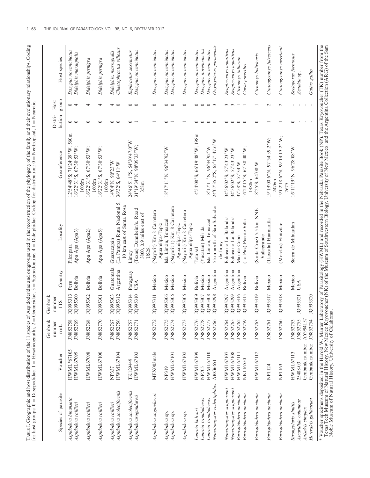| j                              |                                                               |
|--------------------------------|---------------------------------------------------------------|
|                                |                                                               |
| Ì                              |                                                               |
|                                |                                                               |
|                                |                                                               |
|                                |                                                               |
|                                |                                                               |
|                                |                                                               |
|                                |                                                               |
|                                |                                                               |
|                                |                                                               |
| l                              |                                                               |
|                                |                                                               |
|                                |                                                               |
|                                | ì<br>I<br>ï                                                   |
|                                |                                                               |
|                                | $\mathbf{I}$                                                  |
|                                |                                                               |
| i<br>ì                         |                                                               |
|                                |                                                               |
|                                |                                                               |
| i<br>÷                         |                                                               |
|                                |                                                               |
|                                |                                                               |
|                                | I                                                             |
|                                |                                                               |
| l                              |                                                               |
| i<br>)<br>ı                    |                                                               |
|                                |                                                               |
|                                |                                                               |
|                                | i                                                             |
|                                |                                                               |
|                                | l                                                             |
|                                |                                                               |
|                                |                                                               |
| j<br>ì                         |                                                               |
|                                | Ì                                                             |
|                                |                                                               |
|                                |                                                               |
|                                | ļ                                                             |
|                                | ,                                                             |
|                                |                                                               |
|                                | I                                                             |
| ≀                              | I                                                             |
|                                |                                                               |
| ١<br>ł                         | ì                                                             |
| Ś<br>١                         | ì                                                             |
| $\ddot{\phantom{a}}$<br>ĺ<br>١ |                                                               |
|                                |                                                               |
|                                |                                                               |
|                                |                                                               |
| l                              | ī                                                             |
|                                | ו<br>ג                                                        |
|                                | $\mathbf{I}$<br>l                                             |
|                                |                                                               |
|                                | $\vec{t}$<br>$\ddot{\phantom{a}}$                             |
|                                | j<br>1<br>ı                                                   |
|                                |                                                               |
| sminor<br>i<br>d<br>ł          | ì<br>氵<br>č                                                   |
| í<br>J                         | ֧ׅׅׅ֧֧ׅ֧ׅ֧֚֚֚֚֚֚֚֚֚֚֚֚֚֚֚֚֚֚֚֚֚֚֚֚֚֚֚֚֚֚֚֚֚֚֡֝֡֡֡֡֓֡֞֡֡֡֬֞֝֝֝ |
|                                | Ì                                                             |
|                                |                                                               |
|                                |                                                               |
|                                |                                                               |
|                                | ï                                                             |
|                                | i                                                             |
|                                |                                                               |
|                                | ļ                                                             |
|                                | l                                                             |
|                                | $\mathbf{I}$                                                  |
|                                |                                                               |
| i                              | ł                                                             |
|                                |                                                               |
| ì                              |                                                               |
|                                |                                                               |
|                                | ĵ                                                             |
|                                | l<br>ļ                                                        |
|                                | l<br>l                                                        |
|                                |                                                               |
|                                |                                                               |
|                                |                                                               |
|                                |                                                               |
|                                |                                                               |
|                                | ţ<br>¢<br>١                                                   |
| l                              | ì<br>$\ddot{\cdot}$                                           |

J

| $\circ \circ \circ$<br>$\circ$ $\circ$<br>$\circ$<br>$\circ$<br>$\circ$<br>$\circ$<br>$\circ$<br>$\circ$ $\circ$<br>$\circ$<br>$\circ$<br>$\circ$<br>0<br>$\circ$<br>$\circ$<br>12°54'48" S; 71°24'39" W, 560m<br>14°54'08"S, 66°19'48"W; 198m<br>$19^{\circ}02'18.6''$ N, $99^{\circ}14'13.2''$ W;<br>19°19'00.6"N, 97°54'39.2"W<br>24°07'35.2"S, 65°17' 47.6"W<br>24°46'51.1"S, 54°30'47.0"W<br>31°19'34"N, 98°09'33"W;<br>$16^{\circ}22'31''S$ , $67^{\circ}30'53''W$ ;<br>$16^{\circ}22'31''S$ , $67^{\circ}30'53''W$ ;<br>18°17'11"N, 96°34'92"W<br>18°17'11"N, 96°34'92"W<br>$16^{\circ}24'15''S$ , $67^{\circ}38'40''W$ ;<br>16°11'19"N, 96°28'08"W<br>$16^{\circ}22'31''S$ , $67^{\circ}30'53''W$ ;<br>34°56'02"S, 57°43'23"W<br>34°56'02"S, 57°43'23"W<br>14°04'N, 90°23'W<br>37°58'S, 57°34'W<br>36°32'S, 64°11'W<br>18°25'S, 64°08'W<br>1605m<br>1488m<br>1605m<br>1605m<br>2476m<br>358m<br>2675<br>(La Pampa) Ruta Nacional 5,<br>5 km north of San Salvador<br>10 km east of Santa Rosa<br>(Nayarit 1) Km 8 Carretera<br>(Texas) Dannheim's. Road<br>(Santa Cruz) 5.5 km NNE<br>(Nayarit) Km 8 Carretera<br>(Nayarit) Km 8 Carretera<br>3800, 0.9 miles east of<br>Balneario La Balandra<br>Balneario La Balandra<br>(Tlaxcala) Huamantla<br>Isla Limón, Temazcal<br>Isla Limón, Temazcal<br>(La Paz) Puente Villa<br>Sierra de Mihuatlan<br>Aguamilpa-Tepic<br>Aguamilpa-Tepic<br>Aguamilpa-Tepic<br>(Morelos) Huitzilac<br>(Yucatan) Mérida<br>Apa Apa (Apa5)<br>Apa Apa (Apa3)<br>Apa Apa (Apa2)<br>Vallegrande<br>Mar de Cobo<br>Guazacapán<br>de Jujuy<br>Pilcopata<br>US281<br>Totaisal<br>Limoy<br>Guatemala<br>Argentina<br>Argentina<br>Argentina<br>Argentina<br>Argentina<br>Paraguay<br>Mexico<br>Mexico<br>Mexico<br>Mexico<br>Mexico<br>Mexico<br>Mexico<br>Mexico<br>Mexico<br>Bolivia<br>Bolivia<br>Bolivia<br>Bolivia<br>Bolivia<br>Bolivia<br>USA<br>Peru<br><b>USA</b><br>JQ995306<br>JQ995305<br>JQ995311<br>JQ995314<br>JQ995318<br>JQ995300<br>JQ995310<br>JQ995317<br>1Q995302<br>JQ995305<br>JQ995319<br>JQ995303<br>JQ995313<br>JQ995301<br>JQ995312<br>JQ995309<br>JQ995308<br>JQ995297<br>JQ995299<br>JQ995316<br>JQ995315<br>JQ995307<br>JQ995298<br>JQ995321<br>AY994157<br>JN852755<br>JN852758<br>JN852769<br>JN852756<br>JN852775<br>JN852774<br>JN852776<br>JN852766<br>JN852764<br>JN852765<br>JN852753<br>JN852768<br>JN852770<br>JN852767<br>JN852773<br>JN852778<br>JN852777<br>JN852762<br>JN852759<br>JN852763<br>JN852761<br>JN852760<br>JN852757<br>JN852771<br>JN852772<br>HWML*67105<br><b>HWML67113</b><br>HWML67099<br>HWML67098<br><b>HWML67104</b><br>MEX003male<br><b>HWML67110</b><br><b>HWML67108</b><br><b>HWML67112</b><br><b>HWML67100</b><br>HWML67103<br><b>HWML67102</b><br><b>HWML67109</b><br>HWML67107<br><b>HWML67101</b><br><b>HWML67111</b><br>NK116550<br>TK129449<br>ARG6651<br>25488-03<br>NP1124<br>NP1163<br>NP705<br>NP319<br>NP337<br>Nematomystes rodentiphilus<br>Nematomystes scapteromi<br>Nematomystes scapteromi<br>Aspidodera scoleciformis<br>Aspidodera scoleciformis<br>Aspidodera sogandaresi<br>Paraspidodera uncinata<br>Paraspidodera uncinata<br>Paraspidodera uncinata<br>Paraspidodera uncinata<br>Paraspidodera uncinata<br>Aspidoderasogandaresi<br>Lauroia trinidadensis<br>Lauroia trinidadensis<br>Aspidodera binansata<br>Ascaridida columbae<br>Strongyluris similis<br>Aspidodera raillieti<br>Aspidodera raillieti<br>Aspidodera raillieti<br>Aspidodera raillieti<br>Lauroia bolivari<br>Aspidodera sp.<br>Aspidodera sp.<br>Aspidodera sp. | Species of parasite | Voucher        | Genbank<br>number<br>rmL | Genbank<br>number<br>LTS | Country | Locality | Georeference | Distri-<br>bution | group<br>Host         | Host species                                      |
|-----------------------------------------------------------------------------------------------------------------------------------------------------------------------------------------------------------------------------------------------------------------------------------------------------------------------------------------------------------------------------------------------------------------------------------------------------------------------------------------------------------------------------------------------------------------------------------------------------------------------------------------------------------------------------------------------------------------------------------------------------------------------------------------------------------------------------------------------------------------------------------------------------------------------------------------------------------------------------------------------------------------------------------------------------------------------------------------------------------------------------------------------------------------------------------------------------------------------------------------------------------------------------------------------------------------------------------------------------------------------------------------------------------------------------------------------------------------------------------------------------------------------------------------------------------------------------------------------------------------------------------------------------------------------------------------------------------------------------------------------------------------------------------------------------------------------------------------------------------------------------------------------------------------------------------------------------------------------------------------------------------------------------------------------------------------------------------------------------------------------------------------------------------------------------------------------------------------------------------------------------------------------------------------------------------------------------------------------------------------------------------------------------------------------------------------------------------------------------------------------------------------------------------------------------------------------------------------------------------------------------------------------------------------------------------------------------------------------------------------------------------------------------------------------------------------------------------------------------------------------------------------------------------------------------------------------------------------------------------------------------------------------------------------------------------------------------------------------------------------------------------------------------------------------------------------------------------------------------------------------------------------------------------------------------------------------------------------------------------------------------------------------------------------------------------------------------------------------------------------------------------------------------------------------------------|---------------------|----------------|--------------------------|--------------------------|---------|----------|--------------|-------------------|-----------------------|---------------------------------------------------|
|                                                                                                                                                                                                                                                                                                                                                                                                                                                                                                                                                                                                                                                                                                                                                                                                                                                                                                                                                                                                                                                                                                                                                                                                                                                                                                                                                                                                                                                                                                                                                                                                                                                                                                                                                                                                                                                                                                                                                                                                                                                                                                                                                                                                                                                                                                                                                                                                                                                                                                                                                                                                                                                                                                                                                                                                                                                                                                                                                                                                                                                                                                                                                                                                                                                                                                                                                                                                                                                                                                                                                           |                     |                |                          |                          |         |          |              |                   | $\circ$ 4             | Dasypus novemeinetus<br>Didelphis marsupialis     |
|                                                                                                                                                                                                                                                                                                                                                                                                                                                                                                                                                                                                                                                                                                                                                                                                                                                                                                                                                                                                                                                                                                                                                                                                                                                                                                                                                                                                                                                                                                                                                                                                                                                                                                                                                                                                                                                                                                                                                                                                                                                                                                                                                                                                                                                                                                                                                                                                                                                                                                                                                                                                                                                                                                                                                                                                                                                                                                                                                                                                                                                                                                                                                                                                                                                                                                                                                                                                                                                                                                                                                           |                     |                |                          |                          |         |          |              |                   | 4                     | Didelphis pernigra                                |
|                                                                                                                                                                                                                                                                                                                                                                                                                                                                                                                                                                                                                                                                                                                                                                                                                                                                                                                                                                                                                                                                                                                                                                                                                                                                                                                                                                                                                                                                                                                                                                                                                                                                                                                                                                                                                                                                                                                                                                                                                                                                                                                                                                                                                                                                                                                                                                                                                                                                                                                                                                                                                                                                                                                                                                                                                                                                                                                                                                                                                                                                                                                                                                                                                                                                                                                                                                                                                                                                                                                                                           |                     |                |                          |                          |         |          |              |                   | 4                     | Didelphis pernigra                                |
|                                                                                                                                                                                                                                                                                                                                                                                                                                                                                                                                                                                                                                                                                                                                                                                                                                                                                                                                                                                                                                                                                                                                                                                                                                                                                                                                                                                                                                                                                                                                                                                                                                                                                                                                                                                                                                                                                                                                                                                                                                                                                                                                                                                                                                                                                                                                                                                                                                                                                                                                                                                                                                                                                                                                                                                                                                                                                                                                                                                                                                                                                                                                                                                                                                                                                                                                                                                                                                                                                                                                                           |                     |                |                          |                          |         |          |              |                   | 4<br>$\circ$          | Chaetophractus villosus<br>Didelphis. marsupialis |
|                                                                                                                                                                                                                                                                                                                                                                                                                                                                                                                                                                                                                                                                                                                                                                                                                                                                                                                                                                                                                                                                                                                                                                                                                                                                                                                                                                                                                                                                                                                                                                                                                                                                                                                                                                                                                                                                                                                                                                                                                                                                                                                                                                                                                                                                                                                                                                                                                                                                                                                                                                                                                                                                                                                                                                                                                                                                                                                                                                                                                                                                                                                                                                                                                                                                                                                                                                                                                                                                                                                                                           |                     |                |                          |                          |         |          |              |                   | $\circ$ $\circ$       | Euphractus sexcinctus                             |
|                                                                                                                                                                                                                                                                                                                                                                                                                                                                                                                                                                                                                                                                                                                                                                                                                                                                                                                                                                                                                                                                                                                                                                                                                                                                                                                                                                                                                                                                                                                                                                                                                                                                                                                                                                                                                                                                                                                                                                                                                                                                                                                                                                                                                                                                                                                                                                                                                                                                                                                                                                                                                                                                                                                                                                                                                                                                                                                                                                                                                                                                                                                                                                                                                                                                                                                                                                                                                                                                                                                                                           |                     |                |                          |                          |         |          |              |                   |                       | Dasypus novemcinctus                              |
|                                                                                                                                                                                                                                                                                                                                                                                                                                                                                                                                                                                                                                                                                                                                                                                                                                                                                                                                                                                                                                                                                                                                                                                                                                                                                                                                                                                                                                                                                                                                                                                                                                                                                                                                                                                                                                                                                                                                                                                                                                                                                                                                                                                                                                                                                                                                                                                                                                                                                                                                                                                                                                                                                                                                                                                                                                                                                                                                                                                                                                                                                                                                                                                                                                                                                                                                                                                                                                                                                                                                                           |                     |                |                          |                          |         |          |              |                   | $\circ$               | Dasypus novemcinctus                              |
|                                                                                                                                                                                                                                                                                                                                                                                                                                                                                                                                                                                                                                                                                                                                                                                                                                                                                                                                                                                                                                                                                                                                                                                                                                                                                                                                                                                                                                                                                                                                                                                                                                                                                                                                                                                                                                                                                                                                                                                                                                                                                                                                                                                                                                                                                                                                                                                                                                                                                                                                                                                                                                                                                                                                                                                                                                                                                                                                                                                                                                                                                                                                                                                                                                                                                                                                                                                                                                                                                                                                                           |                     |                |                          |                          |         |          |              |                   | $\circ$               | Dasypus novemeinetus                              |
|                                                                                                                                                                                                                                                                                                                                                                                                                                                                                                                                                                                                                                                                                                                                                                                                                                                                                                                                                                                                                                                                                                                                                                                                                                                                                                                                                                                                                                                                                                                                                                                                                                                                                                                                                                                                                                                                                                                                                                                                                                                                                                                                                                                                                                                                                                                                                                                                                                                                                                                                                                                                                                                                                                                                                                                                                                                                                                                                                                                                                                                                                                                                                                                                                                                                                                                                                                                                                                                                                                                                                           |                     |                |                          |                          |         |          |              |                   | $\circ$               | Dasypus novemcinctus                              |
|                                                                                                                                                                                                                                                                                                                                                                                                                                                                                                                                                                                                                                                                                                                                                                                                                                                                                                                                                                                                                                                                                                                                                                                                                                                                                                                                                                                                                                                                                                                                                                                                                                                                                                                                                                                                                                                                                                                                                                                                                                                                                                                                                                                                                                                                                                                                                                                                                                                                                                                                                                                                                                                                                                                                                                                                                                                                                                                                                                                                                                                                                                                                                                                                                                                                                                                                                                                                                                                                                                                                                           |                     |                |                          |                          |         |          |              |                   | $\circ$               | Dasypus novemcinctus                              |
|                                                                                                                                                                                                                                                                                                                                                                                                                                                                                                                                                                                                                                                                                                                                                                                                                                                                                                                                                                                                                                                                                                                                                                                                                                                                                                                                                                                                                                                                                                                                                                                                                                                                                                                                                                                                                                                                                                                                                                                                                                                                                                                                                                                                                                                                                                                                                                                                                                                                                                                                                                                                                                                                                                                                                                                                                                                                                                                                                                                                                                                                                                                                                                                                                                                                                                                                                                                                                                                                                                                                                           |                     |                |                          |                          |         |          |              |                   | $\circ$               | Dasypus novemcinctus                              |
|                                                                                                                                                                                                                                                                                                                                                                                                                                                                                                                                                                                                                                                                                                                                                                                                                                                                                                                                                                                                                                                                                                                                                                                                                                                                                                                                                                                                                                                                                                                                                                                                                                                                                                                                                                                                                                                                                                                                                                                                                                                                                                                                                                                                                                                                                                                                                                                                                                                                                                                                                                                                                                                                                                                                                                                                                                                                                                                                                                                                                                                                                                                                                                                                                                                                                                                                                                                                                                                                                                                                                           |                     |                |                          |                          |         |          |              |                   | $\circ$               | Dasypus. novememetus                              |
|                                                                                                                                                                                                                                                                                                                                                                                                                                                                                                                                                                                                                                                                                                                                                                                                                                                                                                                                                                                                                                                                                                                                                                                                                                                                                                                                                                                                                                                                                                                                                                                                                                                                                                                                                                                                                                                                                                                                                                                                                                                                                                                                                                                                                                                                                                                                                                                                                                                                                                                                                                                                                                                                                                                                                                                                                                                                                                                                                                                                                                                                                                                                                                                                                                                                                                                                                                                                                                                                                                                                                           |                     |                |                          |                          |         |          |              |                   | $\circ$               | Dasypus novemcinctus                              |
|                                                                                                                                                                                                                                                                                                                                                                                                                                                                                                                                                                                                                                                                                                                                                                                                                                                                                                                                                                                                                                                                                                                                                                                                                                                                                                                                                                                                                                                                                                                                                                                                                                                                                                                                                                                                                                                                                                                                                                                                                                                                                                                                                                                                                                                                                                                                                                                                                                                                                                                                                                                                                                                                                                                                                                                                                                                                                                                                                                                                                                                                                                                                                                                                                                                                                                                                                                                                                                                                                                                                                           |                     |                |                          |                          |         |          |              |                   | $\tilde{\phantom{a}}$ | Oxymycterus paranensis                            |
|                                                                                                                                                                                                                                                                                                                                                                                                                                                                                                                                                                                                                                                                                                                                                                                                                                                                                                                                                                                                                                                                                                                                                                                                                                                                                                                                                                                                                                                                                                                                                                                                                                                                                                                                                                                                                                                                                                                                                                                                                                                                                                                                                                                                                                                                                                                                                                                                                                                                                                                                                                                                                                                                                                                                                                                                                                                                                                                                                                                                                                                                                                                                                                                                                                                                                                                                                                                                                                                                                                                                                           |                     |                |                          |                          |         |          |              |                   | 3                     | Scapteromys aquaticus                             |
|                                                                                                                                                                                                                                                                                                                                                                                                                                                                                                                                                                                                                                                                                                                                                                                                                                                                                                                                                                                                                                                                                                                                                                                                                                                                                                                                                                                                                                                                                                                                                                                                                                                                                                                                                                                                                                                                                                                                                                                                                                                                                                                                                                                                                                                                                                                                                                                                                                                                                                                                                                                                                                                                                                                                                                                                                                                                                                                                                                                                                                                                                                                                                                                                                                                                                                                                                                                                                                                                                                                                                           |                     |                |                          |                          |         |          |              |                   | $\epsilon$            | Scapteromys aquaticus                             |
|                                                                                                                                                                                                                                                                                                                                                                                                                                                                                                                                                                                                                                                                                                                                                                                                                                                                                                                                                                                                                                                                                                                                                                                                                                                                                                                                                                                                                                                                                                                                                                                                                                                                                                                                                                                                                                                                                                                                                                                                                                                                                                                                                                                                                                                                                                                                                                                                                                                                                                                                                                                                                                                                                                                                                                                                                                                                                                                                                                                                                                                                                                                                                                                                                                                                                                                                                                                                                                                                                                                                                           |                     |                |                          |                          |         |          |              |                   |                       | Ctenomys tallarum                                 |
|                                                                                                                                                                                                                                                                                                                                                                                                                                                                                                                                                                                                                                                                                                                                                                                                                                                                                                                                                                                                                                                                                                                                                                                                                                                                                                                                                                                                                                                                                                                                                                                                                                                                                                                                                                                                                                                                                                                                                                                                                                                                                                                                                                                                                                                                                                                                                                                                                                                                                                                                                                                                                                                                                                                                                                                                                                                                                                                                                                                                                                                                                                                                                                                                                                                                                                                                                                                                                                                                                                                                                           |                     |                |                          |                          |         |          |              |                   |                       | Cavia porcellus                                   |
|                                                                                                                                                                                                                                                                                                                                                                                                                                                                                                                                                                                                                                                                                                                                                                                                                                                                                                                                                                                                                                                                                                                                                                                                                                                                                                                                                                                                                                                                                                                                                                                                                                                                                                                                                                                                                                                                                                                                                                                                                                                                                                                                                                                                                                                                                                                                                                                                                                                                                                                                                                                                                                                                                                                                                                                                                                                                                                                                                                                                                                                                                                                                                                                                                                                                                                                                                                                                                                                                                                                                                           |                     |                |                          |                          |         |          |              |                   |                       | Ctenomys boliviensis                              |
|                                                                                                                                                                                                                                                                                                                                                                                                                                                                                                                                                                                                                                                                                                                                                                                                                                                                                                                                                                                                                                                                                                                                                                                                                                                                                                                                                                                                                                                                                                                                                                                                                                                                                                                                                                                                                                                                                                                                                                                                                                                                                                                                                                                                                                                                                                                                                                                                                                                                                                                                                                                                                                                                                                                                                                                                                                                                                                                                                                                                                                                                                                                                                                                                                                                                                                                                                                                                                                                                                                                                                           |                     |                |                          |                          |         |          |              |                   | $\mathbf{C}$          | Crateogeomys fulvescens                           |
|                                                                                                                                                                                                                                                                                                                                                                                                                                                                                                                                                                                                                                                                                                                                                                                                                                                                                                                                                                                                                                                                                                                                                                                                                                                                                                                                                                                                                                                                                                                                                                                                                                                                                                                                                                                                                                                                                                                                                                                                                                                                                                                                                                                                                                                                                                                                                                                                                                                                                                                                                                                                                                                                                                                                                                                                                                                                                                                                                                                                                                                                                                                                                                                                                                                                                                                                                                                                                                                                                                                                                           |                     |                |                          |                          |         |          |              |                   | $\mathbf{\sim}$       | Crateogeomys merriami                             |
|                                                                                                                                                                                                                                                                                                                                                                                                                                                                                                                                                                                                                                                                                                                                                                                                                                                                                                                                                                                                                                                                                                                                                                                                                                                                                                                                                                                                                                                                                                                                                                                                                                                                                                                                                                                                                                                                                                                                                                                                                                                                                                                                                                                                                                                                                                                                                                                                                                                                                                                                                                                                                                                                                                                                                                                                                                                                                                                                                                                                                                                                                                                                                                                                                                                                                                                                                                                                                                                                                                                                                           |                     |                |                          |                          |         |          |              |                   |                       | Sceloporus formosus                               |
|                                                                                                                                                                                                                                                                                                                                                                                                                                                                                                                                                                                                                                                                                                                                                                                                                                                                                                                                                                                                                                                                                                                                                                                                                                                                                                                                                                                                                                                                                                                                                                                                                                                                                                                                                                                                                                                                                                                                                                                                                                                                                                                                                                                                                                                                                                                                                                                                                                                                                                                                                                                                                                                                                                                                                                                                                                                                                                                                                                                                                                                                                                                                                                                                                                                                                                                                                                                                                                                                                                                                                           |                     |                |                          |                          |         |          |              |                   |                       | Zenaida sp.                                       |
|                                                                                                                                                                                                                                                                                                                                                                                                                                                                                                                                                                                                                                                                                                                                                                                                                                                                                                                                                                                                                                                                                                                                                                                                                                                                                                                                                                                                                                                                                                                                                                                                                                                                                                                                                                                                                                                                                                                                                                                                                                                                                                                                                                                                                                                                                                                                                                                                                                                                                                                                                                                                                                                                                                                                                                                                                                                                                                                                                                                                                                                                                                                                                                                                                                                                                                                                                                                                                                                                                                                                                           | Anisakis simplex    | Genbank number |                          |                          |         |          |              |                   |                       |                                                   |
| JQ995320<br>JN852754<br>Genbank number<br>Heterakis gallinarum                                                                                                                                                                                                                                                                                                                                                                                                                                                                                                                                                                                                                                                                                                                                                                                                                                                                                                                                                                                                                                                                                                                                                                                                                                                                                                                                                                                                                                                                                                                                                                                                                                                                                                                                                                                                                                                                                                                                                                                                                                                                                                                                                                                                                                                                                                                                                                                                                                                                                                                                                                                                                                                                                                                                                                                                                                                                                                                                                                                                                                                                                                                                                                                                                                                                                                                                                                                                                                                                                            |                     |                |                          |                          |         |          |              |                   |                       | Gallus gallus                                     |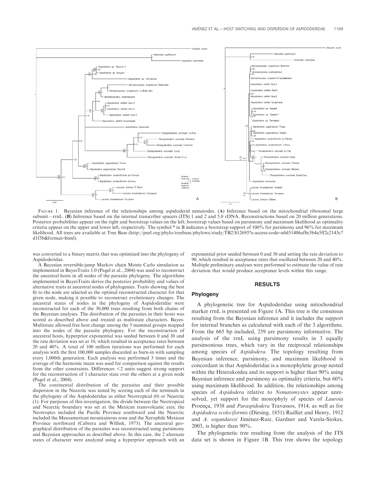

FIGURE 1. Bayesian inference of the relationships among aspidoderid nematodes. (A) Inference based on the mitochondrial ribosomal large subunit—rrnL. (B) Inference based on the internal transcriber spacers (ITS) 1 and 2 and 5.8 rDNA. Reconstructions based on 20 million generations. Posterior probabilities appear on the right and bootstrap values on the left; bootstrap values based on parsimony and maximum likelihood as optimality criteria appear on the upper and lower left, respectively. The symbol \* in B indicates a bootstrap support of 100% for parsimony and 96% for maximum likelihood. All trees are available at Tree Base (http://purl.org/phylo/treebase/phylows/study/TB2:S12695?x-access-code=a0d51406af8e3b4a5ff2c2143c7 d1f5b&format=html).

was converted to a binary matrix that was optimized into the phylogeny of Aspidoderidae.

A Bayesian reversible-jump Markov chain Monte Carlo simulation as implemented in BayesTraits 1.0 (Pagel et al., 2004) was used to reconstruct the ancestral hosts in all nodes of the parasite phylogeny. The algorithms implemented in BayesTraits derive the posterior probability and values of alternative traits at ancestral nodes of phylogenies. Traits showing the best fit to the node are selected as the optimal reconstructed character for that given node, making it possible to reconstruct evolutionary changes. The ancestral states of nodes in the phylogeny of Aspidoderidae were reconstructed for each of the 30,000 trees resulting from both chains of the Bayesian analyses. The distribution of the parasites in their hosts was scored as described above and treated as multistate characters. Bayes-Multistate allowed free host change among the 5 mammal groups mapped into the nodes of the parasite phylogeny. For the reconstruction of ancestral hosts, hyperprior exponential was seeded between 0 and 30 and the rate deviation was set at 10, which resulted in acceptance rates between 20 and 40%. A total of 100 million iterations was performed for each analysis with the first 100,000 samples discarded as burn-in with sampling every 1,000th generation. Each analysis was performed 3 times and the average of the harmonic mean was used for comparison against the results from the other constraints. Differences  $\leq$  units suggest strong support for the reconstruction of 1 character state over the others at a given node (Pagel et al., 2004).

The continental distribution of the parasites and their possible dispersion in the Nearctic was tested by scoring each of the terminals in the phylogeny of the Aspidoderidae as either Neotropical (0) or Nearctic (1). For purposes of this investigation, the divide between the Neotropical and Nearctic boundary was set at the Mexican transvolcanic axis; the Neotropics included the Pacific Province southward and the Nearctic included the Mesoamerican mountainous zone and the Xerophile Mexican Province northward (Cabrera and Willink, 1973). The ancestral geographical distribution of the parasites was reconstructed using parsimony and Bayesian approaches as described above. In this case, the 2 alternate states of character were analyzed using a hyperprior approach with an exponential prior seeded between 0 and 30 and setting the rate deviation to 90, which resulted in acceptance rates that oscillated between 20 and 40%. Multiple preliminary analyses were performed to estimate the value of rate deviation that would produce acceptance levels within this range.

#### RESULTS

#### Phylogeny

A phylogenetic tree for Aspidoderidae using mitochondrial marker rrnL is presented on Figure 1A. This tree is the consensus resulting from the Bayesian inference and it includes the support for internal branches as calculated with each of the 3 algorithms. From the 665 bp included, 259 are parsimony informative. The analysis of the rrnL using parsimony results in 3 equally parsimonious trees, which vary in the reciprocal relationships among species of Aspidodera. The topology resulting from Bayesian inference, parsimony, and maximum likelihood is concordant in that Aspidoderidae is a monophyletic group nested within the Heterakoidea and its support is higher than 90% using Bayesian inference and parsimony as optimality criteria, but 60% using maximum likelihood. In addition, the relationships among species of Aspidodera relative to Nematomystes appear unresolved, yet support for the monophyly of species of *Lauroia* Proença, 1938 and *Paraspidodera* Travassos, 1914, as well as for Aspidodera scoleciformis (Diesing, 1851) Railliet and Henry, 1912 and A. sogandaresi Jiménez-Ruiz, Gardner and Varela-Stokes, 2003, is higher than  $90\%$ .

The phylogenetic tree resulting from the analysis of the ITS data set is shown in Figure 1B. This tree shows the topology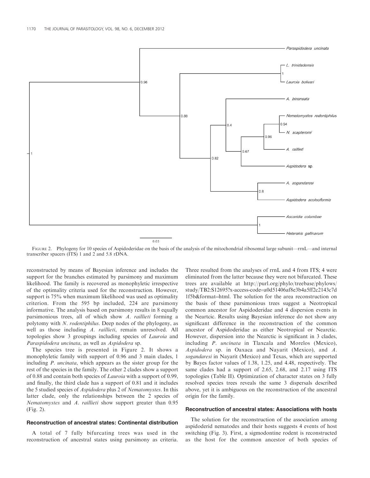

FIGURE 2. Phylogeny for 10 species of Aspidoderidae on the basis of the analysis of the mitochondrial ribosomal large subunit—rrnL—and internal transcriber spacers (ITS) 1 and 2 and 5.8 rDNA.

reconstructed by means of Bayesian inference and includes the support for the branches estimated by parsimony and maximum likelihood. The family is recovered as monophyletic irrespective of the optimality criteria used for the reconstruction. However, support is 75% when maximum likelihood was used as optimality criterion. From the 595 bp included, 224 are parsimony informative. The analysis based on parsimony results in 8 equally parsimonious trees, all of which show A. raillieti forming a polytomy with N. rodentiphilus. Deep nodes of the phylogeny, as well as those including A. raillieti, remain unresolved. All topologies show 3 groupings including species of Lauroia and Paraspidodera uncinata, as well as Aspidodera sp.

The species tree is presented in Figure 2. It shows a monophyletic family with support of 0.96 and 3 main clades, 1 including P. uncinata, which appears as the sister group for the rest of the species in the family. The other 2 clades show a support of 0.88 and contain both species of Lauroia with a support of 0.99, and finally, the third clade has a support of 0.81 and it includes the 5 studied species of Aspidodera plus 2 of Nematomystes. In this latter clade, only the relationships between the 2 species of Nematomystes and A. raillieti show support greater than 0.95 (Fig. 2).

#### Reconstruction of ancestral states: Continental distribution

A total of 7 fully bifurcating trees was used in the reconstruction of ancestral states using parsimony as criteria.

Three resulted from the analyses of rrnL and 4 from ITS; 4 were eliminated from the latter because they were not bifurcated. These trees are available at http://purl.org/phylo/treebase/phylows/ study/TB2:S12695?x-access-code=a0d51406af8e3b4a5ff2c2143c7d 1f5b&format=html. The solution for the area reconstruction on the basis of these parsimonious trees suggest a Neotropical common ancestor for Aspidoderidae and 4 dispersion events in the Neartcic. Results using Bayesian inference do not show any significant difference in the reconstruction of the common ancestor of Aspidoderidae as either Neotropical or Nearctic. However, dispersion into the Nearctic is significant in 3 clades, including P. uncinata in Tlaxcala and Morelos (Mexico), Aspidodera sp. in Oaxaca and Nayarit (Mexico), and A. sogandaresi in Nayarit (Mexico) and Texas, which are supported by Bayes factor values of 1.38, 1.25, and 4.48, respectively. The same clades had a support of 2.65, 2.68, and 2.17 using ITS topologies (Table II). Optimization of character states on 3 fully resolved species trees reveals the same 3 dispersals described above, yet it is ambiguous on the reconstruction of the ancestral origin for the family.

#### Reconstruction of ancestral states: Associations with hosts

The solution for the reconstruction of the association among aspidoderid nematodes and their hosts suggests 4 events of host switching (Fig. 3). First, a sigmodontine rodent is reconstructed as the host for the common ancestor of both species of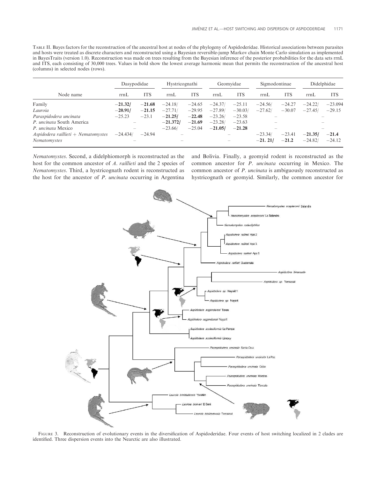| TABLE II. Bayes factors for the reconstruction of the ancestral host at nodes of the phylogeny of Aspidoderidae. Historical associations between parasites |
|------------------------------------------------------------------------------------------------------------------------------------------------------------|
| and hosts were treated as discrete characters and reconstructed using a Bayesian reversible-jump Markov chain Monte Carlo simulation as implemented        |
| in BayesTraits (version 1.0). Reconstruction was made on trees resulting from the Bayesian inference of the posterior probabilities for the data sets rrnL |
| and ITS, each consisting of 30,000 trees. Values in bold show the lowest average harmonic mean that permits the reconstruction of the ancestral host       |
| (columns) in selected nodes (rows).                                                                                                                        |

|                                         | Dasypodidae |            | Hystricognathi           |          |           | Geomvidae  | Sigmodontinae |          |           | Didelphidae |
|-----------------------------------------|-------------|------------|--------------------------|----------|-----------|------------|---------------|----------|-----------|-------------|
| Node name                               | rrnL        | <b>ITS</b> | rmL                      | ITS      | rmL       | <b>ITS</b> | rrnL          | ITS      | rrnL      | <b>ITS</b>  |
| Family                                  | $-21.32/$   | $-21.68$   | $-24.18/$                | $-24.65$ | $-24.37/$ | $-25.11$   | $-24.56/$     | $-24.27$ | $-24.22/$ | $-23.094$   |
| Lauroia                                 | $-20.91/$   | $-21.15$   | $-27.71/$                | $-29.95$ | $-27.89/$ | $-30.03/$  | $-27.62/$     | $-30.07$ | $-27.45/$ | $-29.15$    |
| Paraspidodera uncinata                  | $-25.23$    | $-23.1$    | $-21.25/$                | $-22.48$ | $-23.26/$ | $-23.58$   |               |          |           |             |
| P. uncinata South America               |             |            | $-21.372/$               | $-21.69$ | $-23.28/$ | $-23.63$   |               |          |           |             |
| P. uncinata Mexico                      |             |            | $-23.66/$                | $-25.04$ | $-21.05/$ | $-21.28$   |               |          |           |             |
| $Aspidodera$ raillieti $+$ Nematomystes | $-24.434/$  | $-24.94$   | $\overline{\phantom{0}}$ |          |           |            | $-23.34/$     | $-23.41$ | $-21.35/$ | $-21.4$     |
| Nematomystes                            |             |            |                          |          |           |            | $-21.21/$     | $-21.2$  | $-24.82/$ | $-24.12$    |

Nematomystes. Second, a didelphiomorph is reconstructed as the host for the common ancestor of A. raillieti and the 2 species of Nematomystes. Third, a hystricognath rodent is reconstructed as the host for the ancestor of P. uncinata occurring in Argentina and Bolivia. Finally, a geomyid rodent is reconstructed as the common ancestor for P. uncinata occurring in Mexico. The common ancestor of P. uncinata is ambiguously reconstructed as hystricognath or geomyid. Similarly, the common ancestor for



FIGURE 3. Reconstruction of evolutionary events in the diversification of Aspidoderidae. Four events of host switching localized in 2 clades are identified. Three dispersion events into the Nearctic are also illustrated.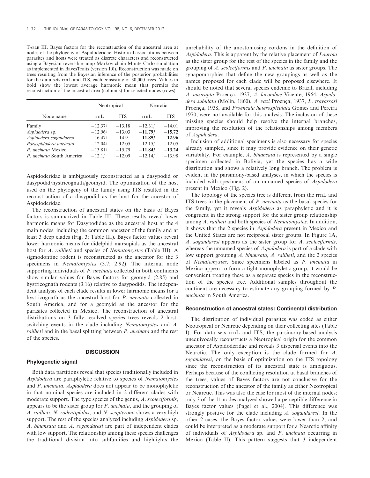TABLE III. Bayes factors for the reconstruction of the ancestral area at nodes of the phylogeny of Aspidoderidae. Historical associations between parasites and hosts were treated as discrete characters and reconstructed using a Bayesian reversible-jump Markov chain Monte Carlo simulation as implemented in BayesTraits (version 1.0). Reconstruction was made on trees resulting from the Bayesian inference of the posterior probabilities for the data sets rrnL and ITS, each consisting of 30,000 trees. Values in bold show the lowest average harmonic mean that permits the reconstruction of the ancestral area (columns) for selected nodes (rows).

|                           | Neotropical |            | Nearctic  |            |  |  |
|---------------------------|-------------|------------|-----------|------------|--|--|
| Node name                 | rmL         | <b>ITS</b> | rrnL      | <b>ITS</b> |  |  |
| Family                    | $-12.37/$   | $-13.18$   | $-12.31/$ | $-14.01$   |  |  |
| Aspidodera sp.            | $-12.96/$   | $-13.03$   | $-11.79/$ | $-15.72$   |  |  |
| Aspidodera sogandaresi    | $-16.47/$   | $-14.9$    | $-11.85/$ | $-12.96$   |  |  |
| Paraspidodera uncinata    | $-12.04/$   | $-12.05$   | $-12.15/$ | $-12.05$   |  |  |
| P. uncinata Mexico        | $-13.81/$   | $-15.79$   | $-11.84/$ | $-13.24$   |  |  |
| P. uncinata South America | $-12.1/$    | $-12.09$   | $-12.14/$ | $-13.98$   |  |  |

Aspidoderidae is ambiguously reconstructed as a dasypodid or dasypodid/hystricognath/geomyid. The optimization of the host used on the phylogeny of the family using ITS resulted in the reconstruction of a dasypodid as the host for the ancestor of Aspidoderidae.

The reconstruction of ancestral states on the basis of Bayes factors is summarized in Table III. These results reveal lower harmonic means for Dasypodidae as the ancestral host at the 4 main nodes, including the common ancestor of the family and at least 3 deep clades (Fig. 3; Table III). Bayes factor values reveal lower harmonic means for didelphid marsupials as the ancestral host for A. raillieti and species of Nematomystes (Table III). A sigmodontine rodent is reconstructed as the ancestor for the 3 specimens in Nematomystes (3.7; 2.92). The internal node supporting individuals of *P. uncinata* collected in both continents show similar values for Bayes factors for geomyid (2.85) and hystricognath rodents (3.16) relative to dasypodids. The independent analysis of each clade results in lower harmonic means for a hystricognath as the ancestral host for P. uncinata collected in South America, and for a geomyid as the ancestor for the parasites collected in Mexico. The reconstruction of ancestral distributions on 3 fully resolved species trees reveals 2 hostswitching events in the clade including Nematomystes and A. raillieti and in the basal splitting between P. uncinata and the rest of the species.

#### **DISCUSSION**

#### Phylogenetic signal

Both data partitions reveal that species traditionally included in Aspidodera are paraphyletic relative to species of Nematomystes and P. uncinata. Aspidodera does not appear to be monophyletic in that nominal species are included in 2 different clades with moderate support. The type species of the genus, A. scoleciformis, appears to be the sister group for P. uncinata, and the grouping of A. raillieti, N. rodentiphilus, and N. scapteromi shows a very high support. The rest of the species analyzed including *Aspidodera* sp. A. binansata and A. sogandaresi are part of independent clades with low support. The relationship among these species challenges the traditional division into subfamilies and highlights the

unreliability of the anostomosing cordons in the definition of Aspidodera. This is apparent by the relative placement of Lauroia as the sister group for the rest of the species in the family and the grouping of A. scoleciformis and P. uncinata as sister groups. The synapomorphies that define the new groupings as well as the names proposed for each clade will be proposed elsewhere. It should be noted that several species endemic to Brazil, including A. ansirupta Proença, 1937, A. lacombae Vicente, 1964, Aspidodera subulata (Molin, 1860), A. vazi Proença, 1937, L. travassosi Proença, 1938, and *Proencaia heterospiculata* Gomes and Pereira 1970, were not available for this analysis. The inclusion of these missing species should help resolve the internal branches, improving the resolution of the relationships among members of Aspidodera.

Inclusion of additional specimens is also necessary for species already sampled, since it may provide evidence on their genetic variability. For example, A. binansata is represented by a single specimen collected in Bolivia, yet the species has a wide distribution and shows a relatively long branch. The problem is evident in the parsimony-based analyses, in which the species is included with specimens of an unnamed species of Aspidodera present in Mexico (Fig. 2).

The topology of the species tree is different from the rrnL and ITS trees in the placement of P. uncinata as the basal species for the family, yet it reveals Aspidodera as paraphyletic and it is congruent in the strong support for the sister group relationship among A. raillieti and both species of Nematomystes. In addition, it shows that the 2 species in Aspidodera present in Mexico and the United States are not reciprocal sister groups. In Figure 1A, A. sogandaresi appears as the sister group for A. scoleciformis, whereas the unnamed species of Aspidodera is part of a clade with low support grouping A. binansata, A. raillieti, and the 2 species of Nematomystes. Since specimens labeled as P. uncinata in Mexico appear to form a tight monophyletic group, it would be convenient treating these as a separate species in the reconstruction of the species tree. Additional samples throughout the continent are necessary to estimate any grouping formed by P. uncinata in South America.

#### Reconstruction of ancestral states: Continental distribution

The distribution of individual parasites was coded as either Neotropical or Nearctic depending on their collecting sites (Table I). For data sets rrnL and ITS, the parsimony-based analysis unequivocally reconstructs a Neotropical origin for the common ancestor of Aspidoderidae and reveals 3 dispersal events into the Nearctic. The only exception is the clade formed for A. sogandaresi, on the basis of optimization on the ITS topology since the reconstruction of its ancestral state is ambiguous. Perhaps because of the conflicting resolution at basal branches of the trees, values of Bayes factors are not conclusive for the reconstruction of the ancestor of the family as either Neotropical or Nearctic. This was also the case for most of the internal nodes; only 3 of the 11 nodes analyzed showed a perceptible difference in Bayes factor values (Pagel et al., 2004). This difference was strongly positive for the clade including A. sogandaresi. In the other 2 cases, the Bayes factor values were lower than 2, and could be interpreted as a moderate support for a Nearctic affinity of individuals of Aspidodera sp. and P. uncinata occurring in Mexico (Table II). This pattern suggests that 3 independent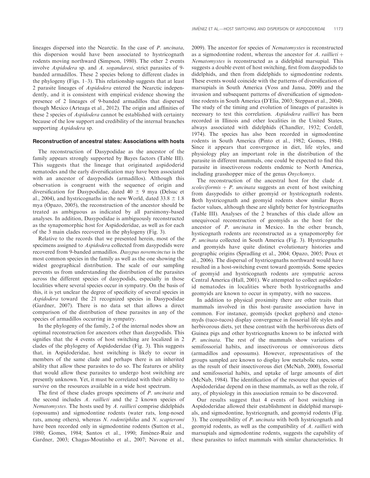lineages dispersed into the Nearctic. In the case of P. uncinata, this dispersion would have been associated to hystricognath rodents moving northward (Simpson, 1980). The other 2 events involve Aspidodera sp. and A. sogandaresi, strict parasites of 9 banded armadillos. These 2 species belong to different clades in the phylogeny (Figs. 1–3). This relationship suggests that at least 2 parasite lineages of Aspidodera entered the Nearctic independently, and it is consistent with empirical evidence showing the presence of 2 lineages of 9-banded armadillos that dispersed though Mexico (Arteaga et al., 2012). The origin and affinities of these 2 species of Aspidodera cannot be established with certainty because of the low support and credibility of the internal branches supporting Aspidodera sp.

#### Reconstruction of ancestral states: Associations with hosts

The reconstruction of Dasypodidae as the ancestor of the family appears strongly supported by Bayes factors (Table III). This suggests that the lineage that originated aspidoderid nematodes and the early diversification may have been associated with an ancestor of dasypodids (armadillos). Although this observation is congruent with the sequence of origin and diversification for Dasypodidae, dated  $40 \pm 9$  mya (Delsuc et al., 2004), and hystricognaths in the new World, dated  $33.8 \pm 1.8$ mya (Opazo, 2005), the reconstruction of the ancestor should be treated as ambiguous as indicated by all parsimony-based analyses. In addition, Dasypodidae is ambiguously reconstructed as the synapomorphic host for Aspidoderidae, as well as for each of the 3 main clades recovered in the phylogeny (Fig. 3).

Relative to the records that we presented herein, most of the specimens assigned to Aspidodera collected from dasypodids were recovered from 9-banded armadillos. Dasypus novemcinctus is the most common species in the family as well as the one showing the widest geographical distribution. The scale of our sampling prevents us from understanding the distribution of the parasites across the different species of dasypodids, especially in those localities where several species occur in sympatry. On the basis of this, it is yet unclear the degree of specificity of several species in Aspidodera toward the 21 recognized species in Dasypodidae (Gardner, 2007). There is no data set that allows a direct comparison of the distribution of these parasites in any of the species of armadillos occurring in sympatry.

In the phylogeny of the family, 2 of the internal nodes show an optimal reconstruction for ancestors other than dasypodids. This signifies that the 4 events of host switching are localized in 2 clades of the phylogeny of Aspidoderidae (Fig. 3). This suggests that, in Aspidoderidae, host switching is likely to occur in members of the same clade and perhaps there is an inherited ability that allow these parasites to do so. The features or ability that would allow these parasites to undergo host switching are presently unknown. Yet, it must be correlated with their ability to survive on the resources available in a wide host spectrum.

The first of these clades groups specimens of *P. uncinata* and the second includes A. raillieti and the 2 known species of Nematomystes. The hosts used by A. raillieti comprise didelphids (opossums) and sigmodontine rodents (water rats, long-nosed rats, among others), whereas N. rodentiphilus and N. scapteromi have been recorded only in sigmodontine rodents (Sutton et al., 1980; Gomes, 1984; Santos et al., 1990; Jiménez-Ruiz and Gardner, 2003; Chagas-Moutinho et al., 2007; Navone et al.,

2009). The ancestor for species of Nematomystes is reconstructed as a sigmodontine rodent, whereas the ancestor for A, raillieti  $+$ Nematomystes is reconstructed as a didelphid marsupial. This suggests a double event of host switching, first from dasypodids to didelphids, and then from didelphids to sigmodontine rodents. These events would coincide with the patterns of diversification of marsupials in South America (Voss and Jansa, 2009) and the invasion and subsequent patterns of diversification of sigmodontine rodents in South America (D'Elía, 2003; Steppan et al., 2004). The study of the timing and evolution of lineages of parasites is necessary to test this correlation. Aspidodera raillieti has been recorded in Illinois and other localities in the United States, always associated with didelphids (Chandler, 1932; Cordell, 1974). The species has also been recorded in sigmodontine rodents in South America (Pinto et al., 1982; Gomes, 1984). Since it appears that convergence in diet, life styles, and physiology play an important role in the distribution of the parasite in different mammals, one could be expected to find this parasite in insectivorous rodents endemic to North America, including grasshopper mice of the genus Onychomys.

The reconstruction of the ancestral host for the clade A. scoleciformis  $+$  P. uncinata suggests an event of host switching from dasypodids to either geomyid or hystricognath rodents. Both hystricognath and geomyid rodents show similar Bayes factor values, although these are slightly better for hystricognaths (Table III). Analyses of the 2 branches of this clade allow an unequivocal reconstruction of geomyids as the host for the ancestor of P. uncinata in Mexico. In the other branch, hysticognath rodents are reconstructed as a synapomorphy for P. uncinata collected in South America (Fig. 3). Hystricognaths and geomyids have quite distinct evolutionary histories and geographic origins (Spradling et al., 2004; Opazo, 2005; Poux et al., 2006). The dispersal of hystricognaths northward would have resulted in a host-switching event toward geomyids. Some species of geomyid and hystricognath rodents are sympatric across Central America (Hall, 2001). We attempted to collect aspidoderid nematodes in localities where both hystricognaths and geomyids are known to occur in sympatry, with no success.

In addition to physical proximity there are other traits that mammals involved in this host–parasite association have in common. For instance, geomyids (pocket gophers) and ctenomyds (tuco-tucos) display convergence in fossorial life styles and herbivorous diets, yet these contrast with the herbivorous diets of Guinea pigs and other hystricognaths known to be infected with P. uncinata. The rest of the mammals show variations of semifossorial habits, and insectivorous or omnivorous diets (armadillos and opossums). However, representatives of the groups sampled are known to display low metabolic rates, some as the result of their insectivorous diet (McNab, 2000), fossorial and semifossorial habits, and uptake of large amounts of dirt (McNab, 1984). The identification of the resource that species of Aspidoderidae depend on in these mammals, as well as the role, if any, of physiology in this association remain to be discovered.

Our results suggest that 4 events of host switching in Aspidoderidae allowed their establishment in didelphid marsupials, and sigmodontine, hystricognath, and geomyid rodents (Fig. 3). The compatibility of P. uncinata with both hystricognath and geomyid rodents, as well as the compatibility of A. raillieti with marsupials and sigmodontine rodents, suggests the capability of these parasites to infect mammals with similar characteristics. It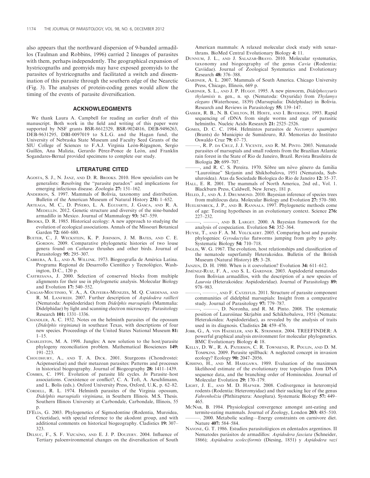also appears that the northward dispersion of 9-banded armadillos (Taulman and Robbins, 1996) carried 2 lineages of parasites with them, perhaps independently. The geographical expansion of hystricognaths and geomyids may have exposed geomyids to the parasites of hystricognaths and facilitated a switch and dissemination of this parasite through the southern edge of the Nearctic (Fig. 3). The analyses of protein-coding genes would allow the timing of the events of parasite diversification.

#### ACKNOWLEDGMENTS

We thank Laura A. Campbell for reading an earlier draft of this manuscript. Both work in the field and writing of this paper were supported by NSF grants BSR-8612329, BSR-9024816, DEB-9496263, DEB-9631295, DBI-0097019 to S.L.G. and the Hagan fund, the University of Nebraska State Museum and Faculty Seed Grants of the SIU College of Sciences to F.A.J. Virginia León-Règagnon, Sergio Guillén, Ana Malizia, Gerardo Pérez-Ponce de León, and Franklin Sogandares-Bernal provided specimens to complete our study.

#### LITERATURE CITED

- AGOSTA, S. J., N. JANZ, AND D. R. BROOKS. 2010. How specialists can be generalists: Resolving the ''parasite paradox'' and implications for emerging infectious disease. Zoologia 27: 151–162.
- ANDERSON, S. 1997. Mammals of Bolivia, taxonomy and distribution. Bulletin of the American Museum of Natural History 231: 1–652.
- ARTEAGA, M. C., D. PIÑERO, L. A. EGUIARTE, J. GASCA, AND R. A. MEDELLIN. 2012. Genetic structure and diversity of the nine-banded armadillo in Mexico. Journal of Mammalogy 93: 547–559.
- BROOKS, D. R. 1985. Historical ecology: A new approach to studying the evolution of ecological associations. Annals of the Missouri Botanical Garden 72: 660–680.
- BUETER, C., J. WECKSTEIN, K. P. JOHNSON, J. M. BATES, AND C. E. GORDON. 2009. Comparative phylogenetic histories of two louse genera found on Catharus thrushes and other birds. Journal of Parasitology 95: 295–307.
- CABRERA, A. L., AND A. WILLINK. 1973. Biogeografía de América Latina. Programa Regional de Desarrollo Científico y Tecnológico, Washington, D.C., 120 p.
- CASTRESANA, J. 2000. Selection of conserved blocks from multiple alignments for their use in phylogenetic analysis. Molecular Biology and Evolution 17: 540–552.
- CHAGAS-MOUTINHO, V. A., A. OLIVEIRA-MENEZES, M. Q. CÁRDENAS, AND R. M. LANFREDI. 2007. Further description of Aspidodera raillieti (Nematoda: Aspidoderidae) from Didelphis marsupialis (Mammalia: Didelphidae) by light and scanning electron microscopy. Parasitology Research 101: 1331–1336.
- CHANDLER, A. C. 1932. Notes on the helminth parasites of the opossum (Didelphis virginiana) in southeast Texas, with descriptions of four new species. Proceedings of the United States National Museum 81:  $1-15.$
- CHARLESTON, M. A. 1998. Jungles: A new solution to the host/parasite phylogeny reconciliation problem. Mathematical Biosciences 149: 191–223.
- CHOUDHURY, A., AND T. A. DICK. 2001. Sturgeons (Chondrostei: Acipenseridae) and their metazoan parasites: Patterns and processes in historical biogeography. Journal of Biogeography 28: 1411–1439.
- COMBES, C. 1991. Evolution of parasite life cycles. In Parasite–host associations. Coexistence or conflict?, C. A. Toft, A. Aeschlimann, and L. Bolis (eds.). Oxford University Press, Oxford, U.K, p. 62–82.
- CORDELL, R. L. 1974. Helminth parasites of the Virginia opossum, Didelphis marsupialis virginiana, in Southern Illinois. M.S. Thesis. Southern Illinois University at Carbondale, Carbondale, Illinois, 55 p.
- D'ELÍA, G. 2003. Phylogenetics of Sigmodontine (Rodentia, Muroidea, Cricetidae), with special reference to the akodont group, and with additional comments on historical biogeography. Cladistics 19: 307– 323.
- DELSUC, F., S. F. VIZCAÍNO, AND E. J. P. DOUZERY. 2004. Influence of Tertiary paloenvironmental changes on the diversification of South

American mammals: A relaxed molecular clock study with xenarthrans. BioMed Central Evolutionary Biology 4: 11.

- DUNNUM, J. L., AND J. SALAZAR-BRAVO. 2010. Molecular systematics, taxonomy and biogeography of the genus Cavia (Rodentia: Caviidae). Journal of Zoological Systematics and Evolutionary Research 48: 376–388.
- GARDNER, A. L. 2007. Mammals of South America. Chicago University Press, Chicago, Illinois, 669 p.
- GARDNER, S. L., AND J. P. HUGOT. 1995. A new pinworm, Didelphoxyuris thylamisis n. gen., n. sp. (Nematoda: Oxyurida) from Thylamys elegans (Waterhouse, 1839) (Marsupialia: Didelphidae) in Bolivia. Research and Reviews in Parasitology 55: 139–147.
- GASSER, R. B., N. B. CHILTON, H. HOSTE, AND I. BEVERIDGE. 1993. Rapid sequencing of rDNA from single worms and eggs of parasitic helminths. Nucleic Acids Research 21: 2525–2526.
- GOMES, D. C. C. 1984. Helmintos parasitos de Nectomys squamipes (Brants) do Municipio de Sumidouro, RJ. Memorias do Instituto Oswaldo Cruz 79: 67–73.
- ———, R. P. DA CRUZ, J. J. VICENTE, AND R. M. PINTO. 2003. Nematode parasites of marsupials and small rodents from the Brazilian Atlantic rain forest in the State of Rio de Janeiro, Brazil. Revista Brasileira de Biologia 20: 699–707.
- -, and R. C. S. Pereira. 1970. Sôbre um nôvo gênero da família ''Lauroiinae'' Skrjanin and Shikhobalova, 1951 (Nematoda, Subuluroidea). Atas da Sociedade Biologica do Rio de Janeiro 12: 35–37.
- HALL, E. R. 2001. The mammals of North America, 2nd ed., Vol. 1. Blackburn Press, Caldwell, New Jersey, 181 p.
- HELED, J., AND A. J. DRUMMOND. 2010. Bayesian inference of species trees from multilocus data. Molecular Biology and Evolution 27: 570–580.
- HUELSENBECK, J. P., AND B. RANNALA. 1997. Phylogenetic methods come of age: Testing hypotheses in an evolutionary context. Science 276: 227–232.
- AND B. LARGET. 2000. A Bayesian framework for the analysis of cospeciation. Evolution 54: 352–364.
- HUYSE, T., AND F. A. M. VOLCKAERT. 2005. Comparing host and parasite phylogenies: Gyrodactylus flatworms jumping from goby to goby. Systematic Biology 54: 710–718.
- INGLIS, W. G. 1967. The evolution, host relationships and classification of the nematode superfamily Heterakoidea. Bulletin of the British Museum (Natural History) 15: 3–28.

JANZEN, D. H. 1980. When is it coevolution? Evolution 34: 611–612.

- JIMÉNEZ-RUIZ, F. A., AND S. L. GARDNER. 2003. Aspidoderid nematodes from Bolivian armadillos, with the description of a new species of Lauroia (Heterakoidea: Aspidoderidae). Journal of Parasitology 89: 978–983.
	- ———, ———, AND F. CATZEFLIS. 2011. Structure of parasite component communities of didelphid marsupials: Insight from a comparative study. Journal of Parasitology 97: 779–787.
	- D. Noronha, and R. M. Pinto. 2008. The systematic position of Lauroiinae Skrjabin and Schikhobalova, 1951 (Nemata: Heterakoidea: Aspidoderidae), as revealed by the analysis of traits used in its diagnosis. Cladistics 24: 459–476.
- JOBB, G., A. VON HAESELER, AND K. STRIMMER. 2004. TREEFINDER: A powerful graphical analysis environment for molecular phylogenetics. BMC Evolutionary Biology 4: 18.
- KELLY, D. W., R. A. PATERSON, C. R. TOWNSEND, R. POULIN, AND D. M. TOMPKINS. 2009. Parasite spillback: A neglected concept in invasion ecology? Ecology 90: 2047–2056.
- KISHINO, H., AND M. HASEGAWA. 1989. Evaluation of the maximum likelihood estimate of the evolutionary tree topologies from DNA sequence data, and the branching order of Hominoidea. Journal of Molecular Evolution 29: 170–179.
- LIGHT, J. E., AND M. D. HAFNER. 2008. Codivergence in heteromyid rodents (Rodentia: Heteromyidae) and their sucking lice of the genus Fahrenholzia (Phthiraptera: Anoplura). Systematic Biology 57: 449– 465.
- MCNAB, B. 1984. Physiological convergence amongst ant-eating and termite-eating mammals. Journal of Zoology, London 203: 485–510. 2000. Metabolic scaling—Energy constraints on carnivore diet. Nature 407: 584–584.
- NAVONE, G. T. 1986. Estudios parasitológicos en edentados argentinos. II Nematodes parásitos de armadillos: Aspidodera fasciata (Schneider, 1866); Aspidodera scoleciformis (Diesing, 1851) y Aspidodera vazi